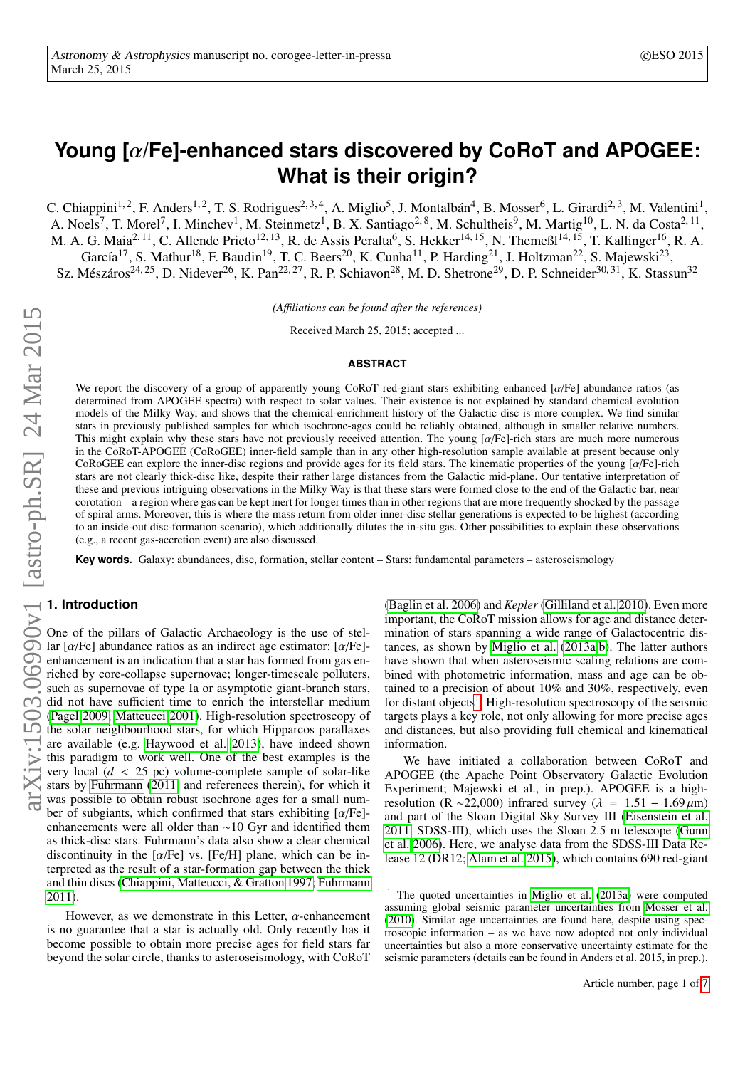# <span id="page-0-1"></span>**Young [**α**/Fe]-enhanced stars discovered by CoRoT and APOGEE: What is their origin?**

C. Chiappini<sup>1, 2</sup>, F. Anders<sup>1, 2</sup>, T. S. Rodrigues<sup>2, 3, 4</sup>, A. Miglio<sup>5</sup>, J. Montalbán<sup>4</sup>, B. Mosser<sup>6</sup>, L. Girardi<sup>2, 3</sup>, M. Valentini<sup>1</sup>, A. Noels<sup>7</sup>, T. Morel<sup>7</sup>, I. Minchev<sup>1</sup>, M. Steinmetz<sup>1</sup>, B. X. Santiago<sup>2, 8</sup>, M. Schultheis<sup>9</sup>, M. Martig<sup>10</sup>, L. N. da Costa<sup>2, 11</sup>, M. A. G. Maia<sup>2, 11</sup>, C. Allende Prieto<sup>12, 13</sup>, R. de Assis Peralta<sup>6</sup>, S. Hekker<sup>14, 15</sup>, N. Themeßl<sup>14, 15</sup>, T. Kallinger<sup>16</sup>, R. A. García<sup>17</sup>, S. Mathur<sup>18</sup>, F. Baudin<sup>19</sup>, T. C. Beers<sup>20</sup>, K. Cunha<sup>11</sup>, P. Harding<sup>21</sup>, J. Holtzman<sup>22</sup>, S. Majewski<sup>23</sup>,

Sz. Mészáros<sup>24, 25</sup>, D. Nidever<sup>26</sup>, K. Pan<sup>22, 27</sup>, R. P. Schiavon<sup>28</sup>, M. D. Shetrone<sup>29</sup>, D. P. Schneider<sup>30, 31</sup>, K. Stassun<sup>32</sup>

*(A*ffi*liations can be found after the references)*

Received March 25, 2015; accepted ...

## **ABSTRACT**

We report the discovery of a group of apparently young CoRoT red-giant stars exhibiting enhanced  $\left[\alpha/Fe\right]$  abundance ratios (as<br>determined from APOGEE spectra) with respect to solar values. Their existence is not explai determined from APOGEE spectra) with respect to solar values. Their existence is not explained by standard chemical evolution models of the Milky Way, and shows that the chemical-enrichment history of the Galactic disc is more complex. We find similar stars in previously published samples for which isochrone-ages could be reliably obtained, although in smaller relative numbers. This might explain why these stars have not previously received attention. The young [a/Fe]-rich stars are much more numerous in the CoRoT-APOGEE (CoRoGEE) inner-field sample than in any other high-resolution sample available at present because only CoRoGEE can explore the inner-disc regions and provide ages for its field stars. The kinematic properties of the young  $\left[\alpha/Fe\right]$ -rich stars are not clearly thick-disc like, despite their rather large distances from the Galactic mid-plane. Our tentative interpretation of these and previous intriguing observations in the Milky Way is that these stars were formed close to the end of the Galactic bar, near corotation – a region where gas can be kept inert for longer times than in other regions that are more frequently shocked by the passage of spiral arms. Moreover, this is where the mass return from older inner-disc stellar generations is expected to be highest (according to an inside-out disc-formation scenario), which additionally dilutes the in-situ gas. Other possibilities to explain these observations (e.g., a recent gas-accretion event) are also discussed.

**Key words.** Galaxy: abundances, disc, formation, stellar content – Stars: fundamental parameters – asteroseismology

## **1. Introduction**

One of the pillars of Galactic Archaeology is the use of stellar [α/Fe] abundance ratios as an indirect age estimator: [α/Fe]- enhancement is an indication that a star has formed from gas enriched by core-collapse supernovae; longer-timescale polluters, such as supernovae of type Ia or asymptotic giant-branch stars, did not have sufficient time to enrich the interstellar medium [\(Pagel 2009;](#page-4-0) [Matteucci 2001\)](#page-4-1). High-resolution spectroscopy of the solar neighbourhood stars, for which Hipparcos parallaxes are available (e.g. [Haywood et al. 2013\)](#page-4-2), have indeed shown this paradigm to work well. One of the best examples is the very local (*<sup>d</sup>* < 25 pc) volume-complete sample of solar-like stars by [Fuhrmann](#page-4-3) [\(2011,](#page-4-3) and references therein), for which it was possible to obtain robust isochrone ages for a small number of subgiants, which confirmed that stars exhibiting  $\left[\alpha/\text{Fe}\right]$ -<br>enhancements were all older than  $\sim 10$  Gyr and identified them enhancements were all older than ∼10 Gyr and identified them as thick-disc stars. Fuhrmann's data also show a clear chemical discontinuity in the  $\lceil \alpha/\text{Fe} \rceil$  vs.  $\lceil \text{Fe/H} \rceil$  plane, which can be interpreted as the result of a star-formation gap between the thick and thin discs [\(Chiappini, Matteucci, & Gratton 1997;](#page-4-4) [Fuhrmann](#page-4-3) [2011\)](#page-4-3).

However, as we demonstrate in this Letter,  $\alpha$ -enhancement is no guarantee that a star is actually old. Only recently has it become possible to obtain more precise ages for field stars far beyond the solar circle, thanks to asteroseismology, with CoRoT

[\(Baglin et al. 2006\)](#page-4-5) and *Kepler* [\(Gilliland et al. 2010\)](#page-4-6). Even more important, the CoRoT mission allows for age and distance determination of stars spanning a wide range of Galactocentric distances, as shown by [Miglio et al.](#page-4-7) [\(2013a](#page-4-7)[,b\)](#page-4-8). The latter authors have shown that when asteroseismic scaling relations are combined with photometric information, mass and age can be obtained to a precision of about 10% and 30%, respectively, even for distant objects<sup>[1](#page-0-0)</sup>. High-resolution spectroscopy of the seismic targets plays a key role, not only allowing for more precise ages and distances, but also providing full chemical and kinematical information.

We have initiated a collaboration between CoRoT and APOGEE (the Apache Point Observatory Galactic Evolution Experiment; Majewski et al., in prep.). APOGEE is a highresolution (R ~22,000) infrared survey ( $\lambda = 1.51 - 1.69 \,\mu\text{m}$ ) and part of the Sloan Digital Sky Survey III [\(Eisenstein et al.](#page-4-9) [2011,](#page-4-9) SDSS-III), which uses the Sloan 2.5 m telescope [\(Gunn](#page-4-10) [et al. 2006\)](#page-4-10). Here, we analyse data from the SDSS-III Data Release 12 (DR12; [Alam et al. 2015\)](#page-4-11), which contains 690 red-giant

<span id="page-0-0"></span> $1$  The quoted uncertainties in [Miglio et al.](#page-4-7) [\(2013a\)](#page-4-7) were computed assuming global seismic parameter uncertainties from [Mosser et al.](#page-4-12) [\(2010\)](#page-4-12). Similar age uncertainties are found here, despite using spectroscopic information – as we have now adopted not only individual uncertainties but also a more conservative uncertainty estimate for the seismic parameters (details can be found in Anders et al. 2015, in prep.).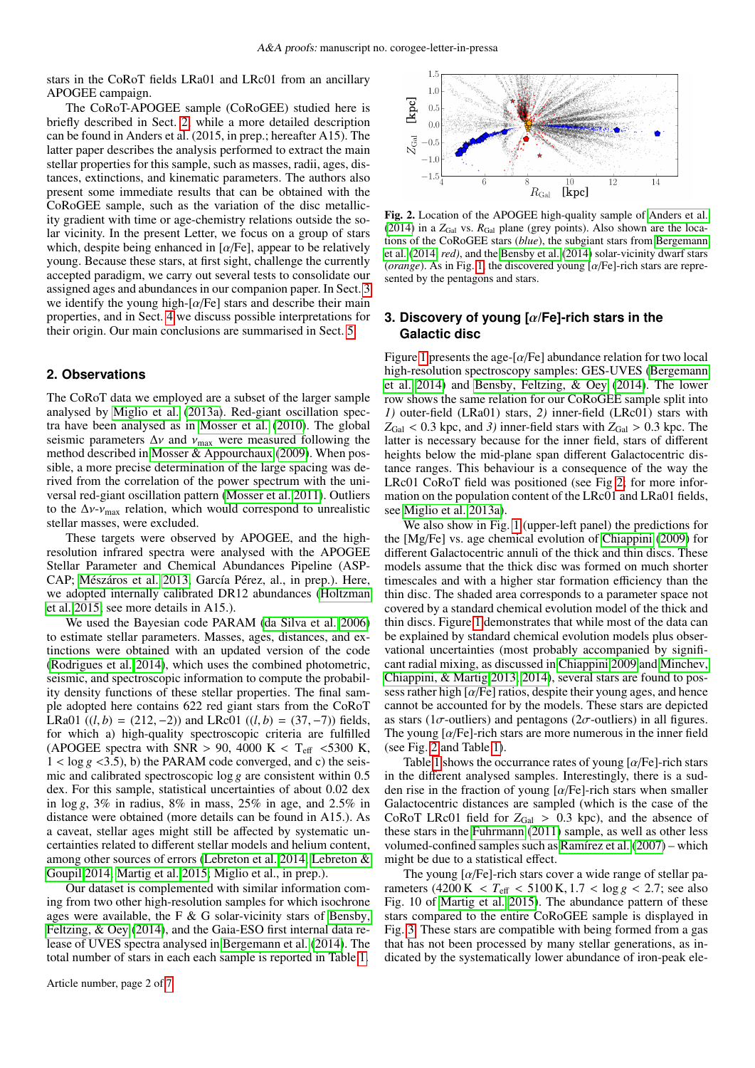stars in the CoRoT fields LRa01 and LRc01 from an ancillary APOGEE campaign.

The CoRoT-APOGEE sample (CoRoGEE) studied here is briefly described in Sect. [2,](#page-1-0) while a more detailed description can be found in Anders et al. (2015, in prep.; hereafter A15). The latter paper describes the analysis performed to extract the main stellar properties for this sample, such as masses, radii, ages, distances, extinctions, and kinematic parameters. The authors also present some immediate results that can be obtained with the CoRoGEE sample, such as the variation of the disc metallicity gradient with time or age-chemistry relations outside the solar vicinity. In the present Letter, we focus on a group of stars which, despite being enhanced in  $\alpha$ /Fe], appear to be relatively young. Because these stars, at first sight, challenge the currently accepted paradigm, we carry out several tests to consolidate our assigned ages and abundances in our companion paper. In Sect. [3](#page-1-1) we identify the young high- $\lceil \alpha/\text{Fe} \rceil$  stars and describe their main properties, and in Sect. [4](#page-3-0) we discuss possible interpretations for their origin. Our main conclusions are summarised in Sect. [5.](#page-3-1)

#### <span id="page-1-0"></span>**2. Observations**

The CoRoT data we employed are a subset of the larger sample analysed by [Miglio et al.](#page-4-7) [\(2013a\)](#page-4-7). Red-giant oscillation spectra have been analysed as in [Mosser et al.](#page-4-12) [\(2010\)](#page-4-12). The global seismic parameters  $\Delta v$  and  $v_{\text{max}}$  were measured following the method described in [Mosser & Appourchaux](#page-4-13) [\(2009\)](#page-4-13). When possible, a more precise determination of the large spacing was derived from the correlation of the power spectrum with the universal red-giant oscillation pattern [\(Mosser et al. 2011\)](#page-4-14). Outliers to the  $\Delta v$ - $v_{\text{max}}$  relation, which would correspond to unrealistic stellar masses, were excluded.

These targets were observed by APOGEE, and the highresolution infrared spectra were analysed with the APOGEE Stellar Parameter and Chemical Abundances Pipeline (ASP-CAP; [Mészáros et al. 2013,](#page-4-15) García Pérez, al., in prep.). Here, we adopted internally calibrated DR12 abundances [\(Holtzman](#page-4-16) [et al. 2015;](#page-4-16) see more details in A15.).

We used the Bayesian code PARAM [\(da Silva et al. 2006\)](#page-4-17) to estimate stellar parameters. Masses, ages, distances, and extinctions were obtained with an updated version of the code [\(Rodrigues et al. 2014\)](#page-4-18), which uses the combined photometric, seismic, and spectroscopic information to compute the probability density functions of these stellar properties. The final sample adopted here contains 622 red giant stars from the CoRoT LRa01 ((*l*, *b*) = (212, −2)) and LRc01 ((*l*, *b*) = (37, −7)) fields, for which a) high-quality spectroscopic criteria are fulfilled (APOGEE spectra with SNR > 90, 4000 K < T<sub>eff</sub> <5300 K,  $1 < log g < 3.5$ ), b) the PARAM code converged, and c) the seismic and calibrated spectroscopic log *g* are consistent within 0.5 dex. For this sample, statistical uncertainties of about 0.02 dex in log *g*, 3% in radius, 8% in mass, 25% in age, and 2.5% in distance were obtained (more details can be found in A15.). As a caveat, stellar ages might still be affected by systematic uncertainties related to different stellar models and helium content, among other sources of errors [\(Lebreton et al. 2014;](#page-4-19) [Lebreton &](#page-4-20) [Goupil 2014;](#page-4-20) [Martig et al. 2015;](#page-4-21) Miglio et al., in prep.).

Our dataset is complemented with similar information coming from two other high-resolution samples for which isochrone ages were available, the F & G solar-vicinity stars of [Bensby,](#page-4-22) [Feltzing, & Oey](#page-4-22) [\(2014\)](#page-4-22), and the Gaia-ESO first internal data release of UVES spectra analysed in [Bergemann et al.](#page-4-23) [\(2014\)](#page-4-23). The total number of stars in each each sample is reported in Table [1.](#page-2-0)



<span id="page-1-2"></span>Fig. 2. Location of the APOGEE high-quality sample of [Anders et al.](#page-4-24) [\(2014\)](#page-4-24) in a  $Z_{Gal}$  vs.  $R_{Gal}$  plane (grey points). Also shown are the locations of the CoRoGEE stars (*blue*), the subgiant stars from [Bergemann](#page-4-23) [et al.](#page-4-23) [\(2014,](#page-4-23) *red)*, and the [Bensby et al.](#page-4-22) [\(2014\)](#page-4-22) solar-vicinity dwarf stars (*orange*). As in Fig. [1,](#page-2-1) the discovered young [α/Fe]-rich stars are represented by the pentagons and stars.

## <span id="page-1-1"></span>**3. Discovery of young [**α**/Fe]-rich stars in the Galactic disc**

Figure [1](#page-2-1) presents the age- $\lceil \alpha/\text{Fe} \rceil$  abundance relation for two local high-resolution spectroscopy samples: GES-UVES [\(Bergemann](#page-4-23) [et al. 2014\)](#page-4-23) and [Bensby, Feltzing, & Oey](#page-4-22) [\(2014\)](#page-4-22). The lower row shows the same relation for our CoRoGEE sample split into *1)* outer-field (LRa01) stars, *2)* inner-field (LRc01) stars with  $Z_{Gal}$  < 0.3 kpc, and 3) inner-field stars with  $Z_{Gal}$  > 0.3 kpc. The latter is necessary because for the inner field, stars of different heights below the mid-plane span different Galactocentric distance ranges. This behaviour is a consequence of the way the LRc01 CoRoT field was positioned (see Fig [2;](#page-1-2) for more information on the population content of the LRc01 and LRa01 fields, see [Miglio et al. 2013a\)](#page-4-7).

We also show in Fig. [1](#page-2-1) (upper-left panel) the predictions for the [Mg/Fe] vs. age chemical evolution of [Chiappini](#page-4-25) [\(2009\)](#page-4-25) for different Galactocentric annuli of the thick and thin discs. These models assume that the thick disc was formed on much shorter timescales and with a higher star formation efficiency than the thin disc. The shaded area corresponds to a parameter space not covered by a standard chemical evolution model of the thick and thin discs. Figure [1](#page-2-1) demonstrates that while most of the data can be explained by standard chemical evolution models plus observational uncertainties (most probably accompanied by significant radial mixing, as discussed in [Chiappini 2009](#page-4-25) and [Minchev,](#page-4-26) [Chiappini, & Martig 2013,](#page-4-26) [2014\)](#page-4-27), several stars are found to possess rather high  $\left[\alpha/\text{Fe}\right]$  ratios, despite their young ages, and hence cannot be accounted for by the models. These stars are depicted as stars (1 $\sigma$ -outliers) and pentagons (2 $\sigma$ -outliers) in all figures. The young  $\lceil \alpha/\text{Fe} \rceil$ -rich stars are more numerous in the inner field (see Fig. [2](#page-1-2) and Table [1\)](#page-2-0).

Table [1](#page-2-0) shows the occurrance rates of young  $\left[\alpha/\text{Fe}\right]$ -rich stars in the different analysed samples. Interestingly, there is a sudden rise in the fraction of young  $\lceil \alpha/\text{Fe} \rceil$ -rich stars when smaller Galactocentric distances are sampled (which is the case of the CoRoT LRc01 field for  $Z_{Gal} > 0.3$  kpc), and the absence of these stars in the [Fuhrmann](#page-4-3) [\(2011\)](#page-4-3) sample, as well as other less volumed-confined samples such as [Ramírez et al.](#page-4-28) [\(2007\)](#page-4-28) – which might be due to a statistical effect.

The young  $\left[\alpha/\text{Fe}\right]$ -rich stars cover a wide range of stellar parameters  $(4200 \text{ K} < T_{\text{eff}} < 5100 \text{ K}, 1.7 < \log g < 2.7$ ; see also Fig. 10 of [Martig et al. 2015\)](#page-4-21). The abundance pattern of these stars compared to the entire CoRoGEE sample is displayed in Fig. [3.](#page-2-0) These stars are compatible with being formed from a gas that has not been processed by many stellar generations, as indicated by the systematically lower abundance of iron-peak ele-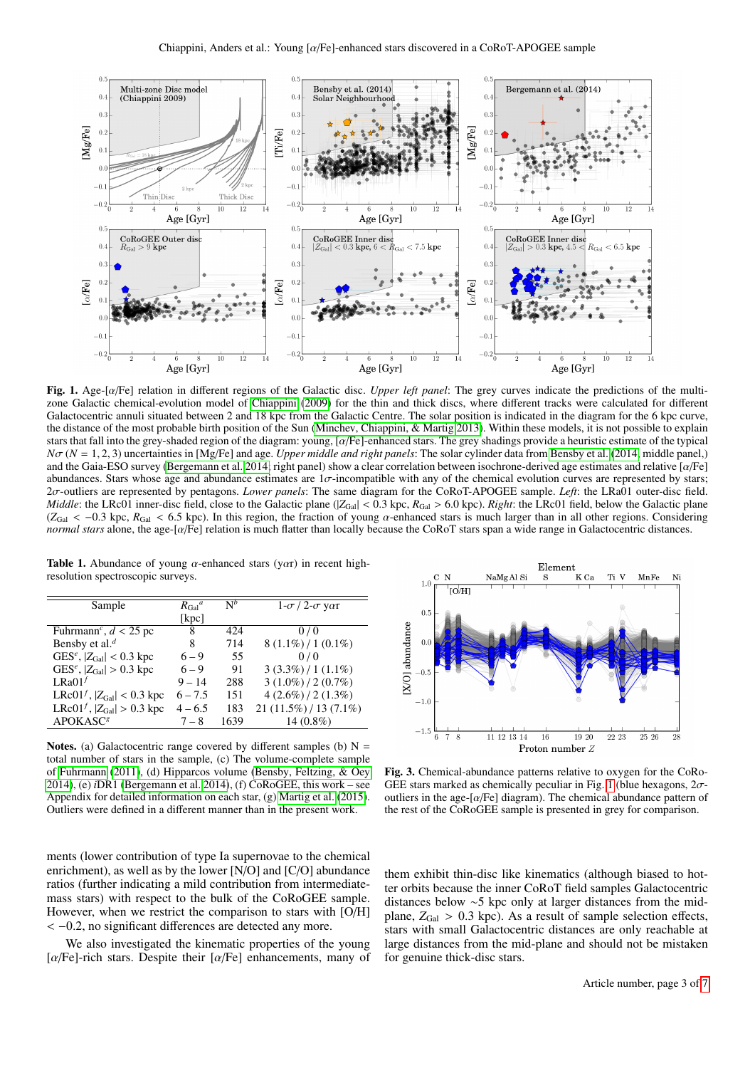

<span id="page-2-1"></span>Fig. 1. Age-[α/Fe] relation in different regions of the Galactic disc. *Upper left panel*: The grey curves indicate the predictions of the multizone Galactic chemical-evolution model of [Chiappini](#page-4-25) [\(2009\)](#page-4-25) for the thin and thick discs, where different tracks were calculated for different Galactocentric annuli situated between 2 and 18 kpc from the Galactic Centre. The solar position is indicated in the diagram for the 6 kpc curve, the distance of the most probable birth position of the Sun [\(Minchev, Chiappini, & Martig 2013\)](#page-4-26). Within these models, it is not possible to explain stars that fall into the grey-shaded region of the diagram: young, [α/Fe]-enhanced stars. The grey shadings provide a heuristic estimate of the typical  $N\sigma$  ( $N = 1, 2, 3$ ) uncertainties in [Mg/Fe] and age. *Upper middle and right panels*: The solar cylinder data from [Bensby et al.](#page-4-22) [\(2014,](#page-4-22) middle panel,) and the Gaia-ESO survey [\(Bergemann et al. 2014;](#page-4-23) right panel) show a clear correlation between isochrone-derived age estimates and relative [α/Fe] abundances. Stars whose age and abundance estimates are  $1\sigma$ -incompatible with any of the chemical evolution curves are represented by stars; <sup>2</sup>σ-outliers are represented by pentagons. *Lower panels*: The same diagram for the CoRoT-APOGEE sample. *Left*: the LRa01 outer-disc field. *Middle*: the LRc01 inner-disc field, close to the Galactic plane  $(|Z_{Gal}| < 0.3$  kpc,  $R_{Gal} > 6.0$  kpc). *Right*: the LRc01 field, below the Galactic plane ( $Z_{Gal}$  < -0.3 kpc,  $R_{Gal}$  < 6.5 kpc). In this region, the fraction of young  $\alpha$ -enhanced stars is much larger than in all other regions. Considering *normal stars* alone, the age-[α/Fe] relation is much flatter than locally because the CoRoT stars span a wide range in Galactocentric distances.

<span id="page-2-0"></span>Table 1. Abundance of young  $\alpha$ -enhanced stars (y $\alpha$ r) in recent highresolution spectroscopic surveys.

| Sample                                     | $R_{Gal}^a$ | $\mathbf{N}^b$ | $1-\sigma/2-\sigma$ yar |
|--------------------------------------------|-------------|----------------|-------------------------|
|                                            | [ $kpc$ ]   |                |                         |
| Fuhrmann <sup>c</sup> , $d < 25$ pc        | 8           | 424            | 0/0                     |
| Bensby et al. $^d$                         | 8           | 714            | $8(1.1\%) / 1(0.1\%)$   |
| GES <sup>e</sup> , $ Z_{Gal} $ < 0.3 kpc   | $6 - 9$     | 55             | 0/0                     |
| GES <sup>e</sup> , $ Z_{Gal}  > 0.3$ kpc   | $6 - 9$     | 91             | $3(3.3\%) / 1(1.1\%)$   |
| LRa $01f$                                  | $9 - 14$    | 288            | $3(1.0\%)/2(0.7\%)$     |
| LRc $01^f$ , $ Z_{Gal}  < 0.3$ kpc         | $6 - 7.5$   | 151            | $4(2.6\%)/2(1.3\%)$     |
| LRc01 <sup>f</sup> , $ Z_{Gal}  > 0.3$ kpc | $4 - 6.5$   | 183            | $21(11.5\%)/13(7.1\%)$  |
| <b>APOKASC<sup>8</sup></b>                 | $7 - 8$     | 1639           | 14 $(0.8\%)$            |

Notes. (a) Galactocentric range covered by different samples (b)  $N =$ total number of stars in the sample, (c) The volume-complete sample of [Fuhrmann](#page-4-3) [\(2011\)](#page-4-3), (d) Hipparcos volume [\(Bensby, Feltzing, & Oey](#page-4-22) [2014\)](#page-4-22), (e) *i*DR1 [\(Bergemann et al. 2014\)](#page-4-23), (f) CoRoGEE, this work – see Appendix for detailed information on each star, (g) [Martig et al.](#page-4-21) [\(2015\)](#page-4-21). Outliers were defined in a different manner than in the present work.

ments (lower contribution of type Ia supernovae to the chemical enrichment), as well as by the lower [N/O] and [C/O] abundance ratios (further indicating a mild contribution from intermediatemass stars) with respect to the bulk of the CoRoGEE sample. However, when we restrict the comparison to stars with [O/H] < <sup>−</sup>0.2, no significant differences are detected any more.

We also investigated the kinematic properties of the young [ $\alpha$ /Fe]-rich stars. Despite their [ $\alpha$ /Fe] enhancements, many of



Fig. 3. Chemical-abundance patterns relative to oxygen for the CoRo-GEE stars marked as chemically peculiar in Fig. [1](#page-2-1) (blue hexagons,  $2\sigma$ outliers in the age- $\lceil \alpha/\text{Fe} \rceil$  diagram). The chemical abundance pattern of the rest of the CoRoGEE sample is presented in grey for comparison.

them exhibit thin-disc like kinematics (although biased to hotter orbits because the inner CoRoT field samples Galactocentric distances below ∼5 kpc only at larger distances from the midplane,  $Z_{Gal} > 0.3$  kpc). As a result of sample selection effects, stars with small Galactocentric distances are only reachable at large distances from the mid-plane and should not be mistaken for genuine thick-disc stars.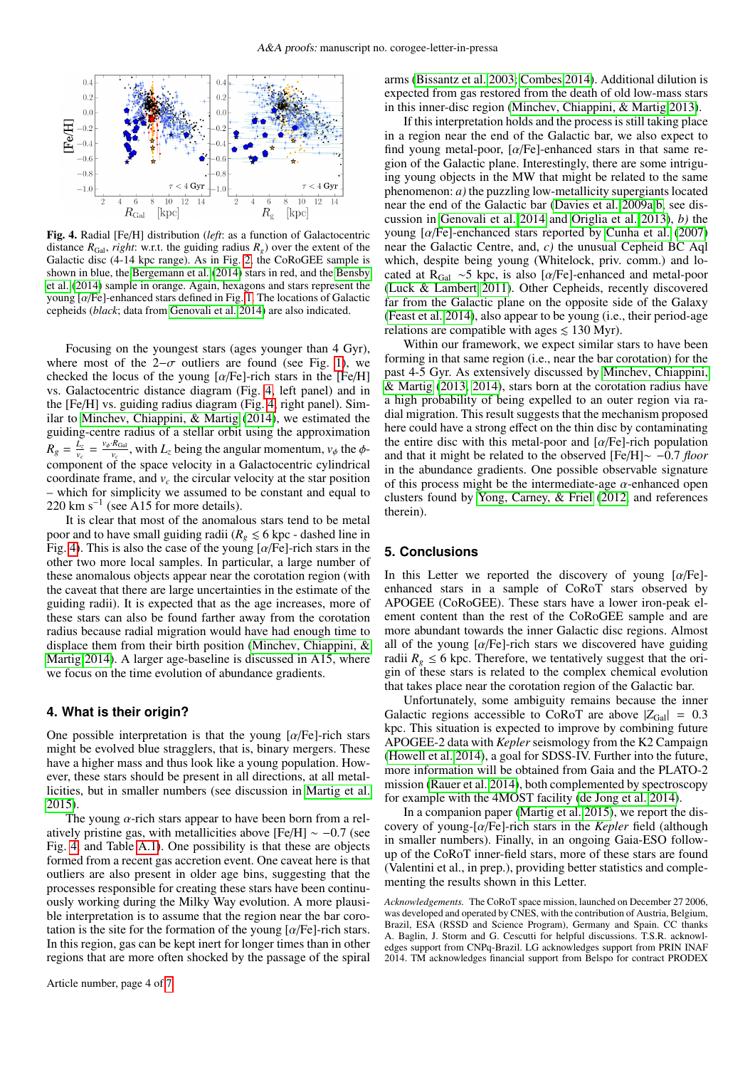

<span id="page-3-2"></span>Fig. 4. Radial [Fe/H] distribution (*left*: as a function of Galactocentric distance  $R_{Gal}$ , *right*: w.r.t. the guiding radius  $R_g$ ) over the extent of the Galactic disc (4-14 kpc range). As in Fig. [2,](#page-1-2) the CoRoGEE sample is shown in blue, the [Bergemann et al.](#page-4-23) [\(2014\)](#page-4-23) stars in red, and the [Bensby](#page-4-22) [et al.](#page-4-22) [\(2014\)](#page-4-22) sample in orange. Again, hexagons and stars represent the young  $\left[\alpha/\text{Fe}\right]$ -enhanced stars defined in Fig. [1.](#page-2-1) The locations of Galactic cepheids (*black*; data from [Genovali et al. 2014\)](#page-4-29) are also indicated.

Focusing on the youngest stars (ages younger than 4 Gyr), where most of the 2– $\sigma$  outliers are found (see Fig. [1\)](#page-2-1), we checked the locus of the young  $\lceil \alpha/\text{Fe} \rceil$ -rich stars in the  $\lceil \text{Fe/H} \rceil$ vs. Galactocentric distance diagram (Fig. [4,](#page-3-2) left panel) and in the [Fe/H] vs. guiding radius diagram (Fig. [4,](#page-3-2) right panel). Similar to [Minchev, Chiappini, & Martig](#page-4-27) [\(2014\)](#page-4-27), we estimated the guiding-centre radius of a stellar orbit using the approximation  $R_g = \frac{L_z}{v_z}$  $\frac{L_z}{v_c} = \frac{v_{\phi} \cdot R_{Gal}}{v_c}$ , with  $L_z$  being the angular momentum,  $v_{\phi}$  the  $\phi$ component of the space velocity in a Galactocentric cylindrical coordinate frame, and  $v_c$  the circular velocity at the star position – which for simplicity we assumed to be constant and equal to  $220 \text{ km s}^{-1}$  (see A15 for more details).

It is clear that most of the anomalous stars tend to be metal poor and to have small guiding radii ( $R_g \leq 6$  kpc - dashed line in Fig. [4\)](#page-3-2). This is also the case of the young  $\alpha$ /Fe]-rich stars in the other two more local samples. In particular, a large number of these anomalous objects appear near the corotation region (with the caveat that there are large uncertainties in the estimate of the guiding radii). It is expected that as the age increases, more of these stars can also be found farther away from the corotation radius because radial migration would have had enough time to displace them from their birth position [\(Minchev, Chiappini, &](#page-4-27) [Martig 2014\)](#page-4-27). A larger age-baseline is discussed in A15, where we focus on the time evolution of abundance gradients.

## <span id="page-3-0"></span>**4. What is their origin?**

One possible interpretation is that the young  $\lceil \alpha/\text{Fe} \rceil$ -rich stars might be evolved blue stragglers, that is, binary mergers. These have a higher mass and thus look like a young population. However, these stars should be present in all directions, at all metallicities, but in smaller numbers (see discussion in [Martig et al.](#page-4-21) [2015\)](#page-4-21).

The young  $\alpha$ -rich stars appear to have been born from a relatively pristine gas, with metallicities above [Fe/H]  $\sim -0.7$  (see Fig. [4,](#page-3-2) and Table [A.1\)](#page-6-0). One possibility is that these are objects formed from a recent gas accretion event. One caveat here is that outliers are also present in older age bins, suggesting that the processes responsible for creating these stars have been continuously working during the Milky Way evolution. A more plausible interpretation is to assume that the region near the bar corotation is the site for the formation of the young  $\lceil \alpha/\text{Fe} \rceil$ -rich stars. In this region, gas can be kept inert for longer times than in other regions that are more often shocked by the passage of the spiral arms [\(Bissantz et al. 2003;](#page-4-30) [Combes 2014\)](#page-4-31). Additional dilution is expected from gas restored from the death of old low-mass stars in this inner-disc region [\(Minchev, Chiappini, & Martig 2013\)](#page-4-26).

If this interpretation holds and the process is still taking place in a region near the end of the Galactic bar, we also expect to find young metal-poor,  $\lceil \alpha/\text{Fe} \rceil$ -enhanced stars in that same region of the Galactic plane. Interestingly, there are some intriguing young objects in the MW that might be related to the same phenomenon: *a)* the puzzling low-metallicity supergiants located near the end of the Galactic bar [\(Davies et al. 2009a](#page-4-32)[,b,](#page-4-33) see discussion in [Genovali et al. 2014](#page-4-29) and [Origlia et al. 2013\)](#page-4-34), *b)* the young  $\lceil \alpha/\text{Fe} \rceil$ -enchanced stars reported by [Cunha et al.](#page-4-35) [\(2007\)](#page-4-35) near the Galactic Centre, and, *c)* the unusual Cepheid BC Aql which, despite being young (Whitelock, priv. comm.) and located at R<sub>Gal</sub> ∼5 kpc, is also [ $\alpha$ /Fe]-enhanced and metal-poor [\(Luck & Lambert 2011\)](#page-4-36). Other Cepheids, recently discovered far from the Galactic plane on the opposite side of the Galaxy [\(Feast et al. 2014\)](#page-4-37), also appear to be young (i.e., their period-age relations are compatible with ages  $\leq 130$  Myr).

Within our framework, we expect similar stars to have been forming in that same region (i.e., near the bar corotation) for the past 4-5 Gyr. As extensively discussed by [Minchev, Chiappini,](#page-4-26) [& Martig](#page-4-26) [\(2013,](#page-4-26) [2014\)](#page-4-27), stars born at the corotation radius have a high probability of being expelled to an outer region via radial migration. This result suggests that the mechanism proposed here could have a strong effect on the thin disc by contaminating the entire disc with this metal-poor and  $\alpha$ /Fe]-rich population and that it might be related to the observed [Fe/H]∼ −0.7 *floor* in the abundance gradients. One possible observable signature of this process might be the intermediate-age  $\alpha$ -enhanced open clusters found by [Yong, Carney, & Friel](#page-4-38) [\(2012,](#page-4-38) and references therein).

## <span id="page-3-1"></span>**5. Conclusions**

In this Letter we reported the discovery of young  $[\alpha/Fe]$ enhanced stars in a sample of CoRoT stars observed by APOGEE (CoRoGEE). These stars have a lower iron-peak element content than the rest of the CoRoGEE sample and are more abundant towards the inner Galactic disc regions. Almost all of the young  $[\alpha/\text{Fe}]$ -rich stars we discovered have guiding radii  $R_g \leq 6$  kpc. Therefore, we tentatively suggest that the origin of these stars is related to the complex chemical evolution that takes place near the corotation region of the Galactic bar.

Unfortunately, some ambiguity remains because the inner Galactic regions accessible to CoRoT are above  $|Z_{Gal}| = 0.3$ kpc. This situation is expected to improve by combining future APOGEE-2 data with *Kepler* seismology from the K2 Campaign [\(Howell et al. 2014\)](#page-4-39), a goal for SDSS-IV. Further into the future, more information will be obtained from Gaia and the PLATO-2 mission [\(Rauer et al. 2014\)](#page-4-40), both complemented by spectroscopy for example with the 4MOST facility [\(de Jong et al. 2014\)](#page-4-41).

In a companion paper [\(Martig et al. 2015\)](#page-4-21), we report the discovery of young-[α/Fe]-rich stars in the *Kepler* field (although in smaller numbers). Finally, in an ongoing Gaia-ESO followup of the CoRoT inner-field stars, more of these stars are found (Valentini et al., in prep.), providing better statistics and complementing the results shown in this Letter.

*Acknowledgements.* The CoRoT space mission, launched on December 27 2006, was developed and operated by CNES, with the contribution of Austria, Belgium, Brazil, ESA (RSSD and Science Program), Germany and Spain. CC thanks A. Baglin, J. Storm and G. Cescutti for helpful discussions. T.S.R. acknowledges support from CNPq-Brazil. LG acknowledges support from PRIN INAF 2014. TM acknowledges financial support from Belspo for contract PRODEX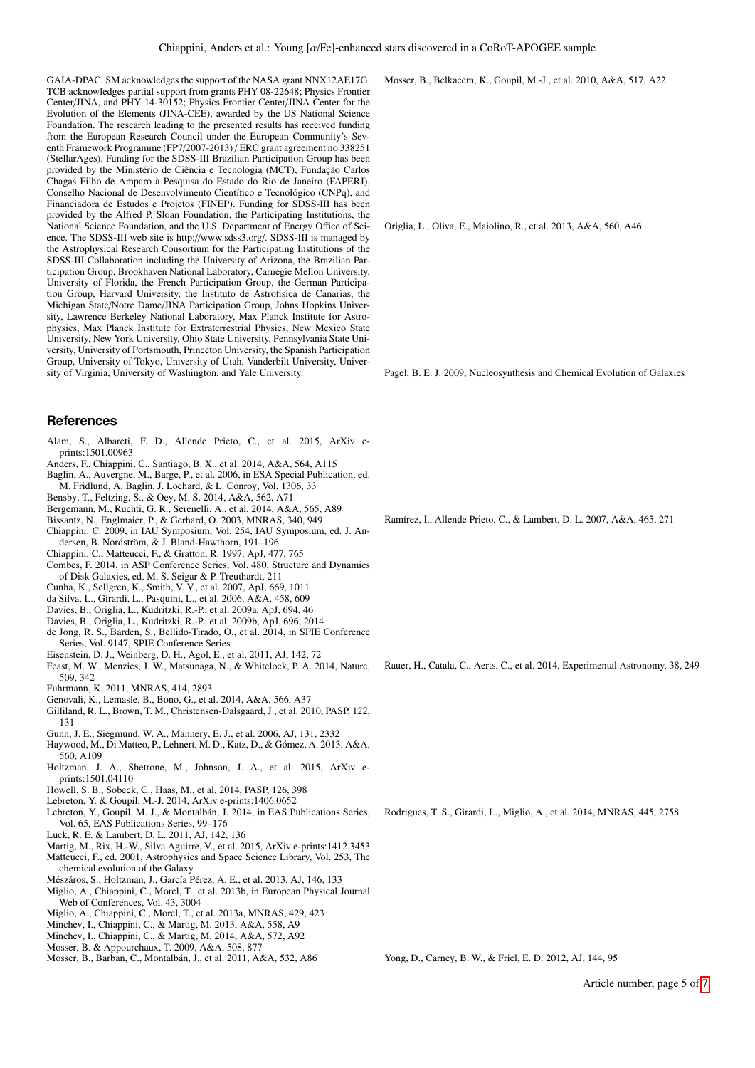GAIA-DPAC. SM acknowledges the support of the NASA grant NNX12AE17G. TCB acknowledges partial support from grants PHY 08-22648; Physics Frontier Center/JINA, and PHY 14-30152; Physics Frontier Center/JINA Center for the Evolution of the Elements (JINA-CEE), awarded by the US National Science Foundation. The research leading to the presented results has received funding from the European Research Council under the European Community's Seventh Framework Programme (FP7/2007-2013) / ERC grant agreement no 338251 (StellarAges). Funding for the SDSS-III Brazilian Participation Group has been provided by the Ministério de Ciência e Tecnologia (MCT), Fundação Carlos Chagas Filho de Amparo à Pesquisa do Estado do Rio de Janeiro (FAPERJ), Conselho Nacional de Desenvolvimento Científico e Tecnológico (CNPq), and Financiadora de Estudos e Projetos (FINEP). Funding for SDSS-III has been provided by the Alfred P. Sloan Foundation, the Participating Institutions, the National Science Foundation, and the U.S. Department of Energy Office of Science. The SDSS-III web site is http://www.sdss3.org/. SDSS-III is managed by the Astrophysical Research Consortium for the Participating Institutions of the SDSS-III Collaboration including the University of Arizona, the Brazilian Participation Group, Brookhaven National Laboratory, Carnegie Mellon University, University of Florida, the French Participation Group, the German Participation Group, Harvard University, the Instituto de Astrofisica de Canarias, the Michigan State/Notre Dame/JINA Participation Group, Johns Hopkins University, Lawrence Berkeley National Laboratory, Max Planck Institute for Astrophysics, Max Planck Institute for Extraterrestrial Physics, New Mexico State University, New York University, Ohio State University, Pennsylvania State University, University of Portsmouth, Princeton University, the Spanish Participation Group, University of Tokyo, University of Utah, Vanderbilt University, University of Virginia, University of Washington, and Yale University.

#### **References**

- <span id="page-4-11"></span>Alam, S., Albareti, F. D., Allende Prieto, C., et al. 2015, ArXiv eprints:1501.00963
- <span id="page-4-24"></span>Anders, F., Chiappini, C., Santiago, B. X., et al. 2014, A&A, 564, A115
- <span id="page-4-5"></span>Baglin, A., Auvergne, M., Barge, P., et al. 2006, in ESA Special Publication, ed. M. Fridlund, A. Baglin, J. Lochard, & L. Conroy, Vol. 1306, 33
- <span id="page-4-22"></span>Bensby, T., Feltzing, S., & Oey, M. S. 2014, A&A, 562, A71
- <span id="page-4-23"></span>Bergemann, M., Ruchti, G. R., Serenelli, A., et al. 2014, A&A, 565, A89
- <span id="page-4-30"></span>Bissantz, N., Englmaier, P., & Gerhard, O. 2003, MNRAS, 340, 949
- <span id="page-4-25"></span>Chiappini, C. 2009, in IAU Symposium, Vol. 254, IAU Symposium, ed. J. An-
- dersen, B. Nordström, & J. Bland-Hawthorn, 191–196
- <span id="page-4-31"></span><span id="page-4-4"></span>Chiappini, C., Matteucci, F., & Gratton, R. 1997, ApJ, 477, 765 Combes, F. 2014, in ASP Conference Series, Vol. 480, Structure and Dynamics
- of Disk Galaxies, ed. M. S. Seigar & P. Treuthardt, 211
- <span id="page-4-35"></span>Cunha, K., Sellgren, K., Smith, V. V., et al. 2007, ApJ, 669, 1011
- <span id="page-4-17"></span>da Silva, L., Girardi, L., Pasquini, L., et al. 2006, A&A, 458, 609
- <span id="page-4-32"></span>Davies, B., Origlia, L., Kudritzki, R.-P., et al. 2009a, ApJ, 694, 46
- <span id="page-4-33"></span>Davies, B., Origlia, L., Kudritzki, R.-P., et al. 2009b, ApJ, 696, 2014
- <span id="page-4-41"></span>de Jong, R. S., Barden, S., Bellido-Tirado, O., et al. 2014, in SPIE Conference Series, Vol. 9147, SPIE Conference Series
- <span id="page-4-9"></span>Eisenstein, D. J., Weinberg, D. H., Agol, E., et al. 2011, AJ, 142, 72
- <span id="page-4-37"></span>Feast, M. W., Menzies, J. W., Matsunaga, N., & Whitelock, P. A. 2014, Nature, 509, 342
- <span id="page-4-3"></span>Fuhrmann, K. 2011, MNRAS, 414, 2893
- <span id="page-4-29"></span>Genovali, K., Lemasle, B., Bono, G., et al. 2014, A&A, 566, A37
- <span id="page-4-6"></span>Gilliland, R. L., Brown, T. M., Christensen-Dalsgaard, J., et al. 2010, PASP, 122, 131
- <span id="page-4-10"></span>Gunn, J. E., Siegmund, W. A., Mannery, E. J., et al. 2006, AJ, 131, 2332
- <span id="page-4-2"></span>Haywood, M., Di Matteo, P., Lehnert, M. D., Katz, D., & Gómez, A. 2013, A&A, 560, A109
- <span id="page-4-16"></span>Holtzman, J. A., Shetrone, M., Johnson, J. A., et al. 2015, ArXiv eprints:1501.04110
- <span id="page-4-39"></span>Howell, S. B., Sobeck, C., Haas, M., et al. 2014, PASP, 126, 398
- <span id="page-4-20"></span>Lebreton, Y. & Goupil, M.-J. 2014, ArXiv e-prints:1406.0652
- <span id="page-4-19"></span>Lebreton, Y., Goupil, M. J., & Montalbán, J. 2014, in EAS Publications Series, Vol. 65, EAS Publications Series, 99–176
- <span id="page-4-36"></span>Luck, R. E. & Lambert, D. L. 2011, AJ, 142, 136
- <span id="page-4-21"></span>Martig, M., Rix, H.-W., Silva Aguirre, V., et al. 2015, ArXiv e-prints:1412.3453
- <span id="page-4-1"></span>Matteucci, F., ed. 2001, Astrophysics and Space Science Library, Vol. 253, The chemical evolution of the Galaxy
- <span id="page-4-15"></span>Mészáros, S., Holtzman, J., García Pérez, A. E., et al. 2013, AJ, 146, 133
- <span id="page-4-8"></span>Miglio, A., Chiappini, C., Morel, T., et al. 2013b, in European Physical Journal Web of Conferences, Vol. 43, 3004
- <span id="page-4-7"></span>Miglio, A., Chiappini, C., Morel, T., et al. 2013a, MNRAS, 429, 423
- <span id="page-4-26"></span>Minchev, I., Chiappini, C., & Martig, M. 2013, A&A, 558, A9
- <span id="page-4-27"></span>Minchev, I., Chiappini, C., & Martig, M. 2014, A&A, 572, A92
- <span id="page-4-13"></span>Mosser, B. & Appourchaux, T. 2009, A&A, 508, 877
- <span id="page-4-14"></span>Mosser, B., Barban, C., Montalbán, J., et al. 2011, A&A, 532, A86

<span id="page-4-12"></span>Mosser, B., Belkacem, K., Goupil, M.-J., et al. 2010, A&A, 517, A22

<span id="page-4-34"></span>Origlia, L., Oliva, E., Maiolino, R., et al. 2013, A&A, 560, A46

<span id="page-4-0"></span>Pagel, B. E. J. 2009, Nucleosynthesis and Chemical Evolution of Galaxies

<span id="page-4-28"></span>Ramírez, I., Allende Prieto, C., & Lambert, D. L. 2007, A&A, 465, 271

<span id="page-4-18"></span>Rodrigues, T. S., Girardi, L., Miglio, A., et al. 2014, MNRAS, 445, 2758

<span id="page-4-40"></span>Rauer, H., Catala, C., Aerts, C., et al. 2014, Experimental Astronomy, 38, 249

<span id="page-4-38"></span>Yong, D., Carney, B. W., & Friel, E. D. 2012, AJ, 144, 95

Article number, page 5 of [7](#page-0-1)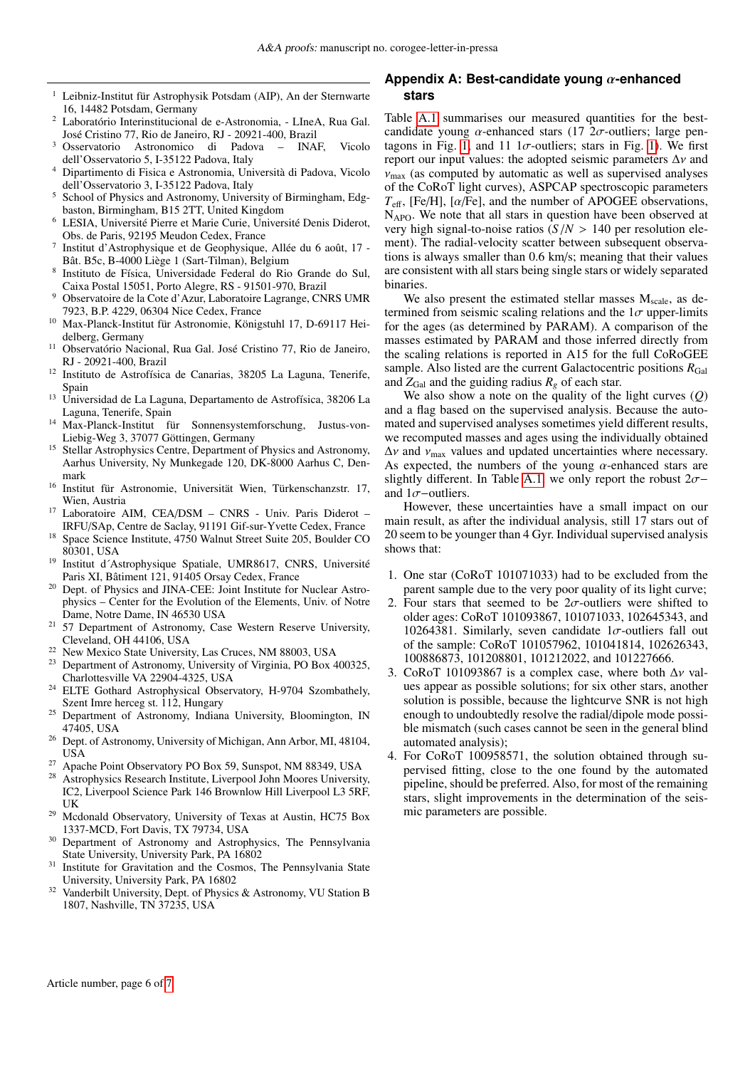- $1$  Leibniz-Institut für Astrophysik Potsdam (AIP), An der Sternwarte 16, 14482 Potsdam, Germany
- <sup>2</sup> Laboratório Interinstitucional de e-Astronomia, LIneA, Rua Gal. José Cristino 77, Rio de Janeiro, RJ - 20921-400, Brazil
- <sup>3</sup> Osservatorio Astronomico di Padova INAF, Vicolo dell'Osservatorio 5, I-35122 Padova, Italy
- <sup>4</sup> Dipartimento di Fisica e Astronomia, Università di Padova, Vicolo dell'Osservatorio 3, I-35122 Padova, Italy
- <sup>5</sup> School of Physics and Astronomy, University of Birmingham, Edgbaston, Birmingham, B15 2TT, United Kingdom
- <sup>6</sup> LESIA, Université Pierre et Marie Curie, Université Denis Diderot, Obs. de Paris, 92195 Meudon Cedex, France
- 7 Institut d'Astrophysique et de Geophysique, Allée du 6 août, 17 - Bât. B5c, B-4000 Liège 1 (Sart-Tilman), Belgium
- 8 Instituto de Física, Universidade Federal do Rio Grande do Sul, Caixa Postal 15051, Porto Alegre, RS - 91501-970, Brazil
- <sup>9</sup> Observatoire de la Cote d'Azur, Laboratoire Lagrange, CNRS UMR 7923, B.P. 4229, 06304 Nice Cedex, France
- <sup>10</sup> Max-Planck-Institut für Astronomie, Königstuhl 17, D-69117 Heidelberg, Germany
- <sup>11</sup> Observatório Nacional, Rua Gal. José Cristino 77, Rio de Janeiro, RJ - 20921-400, Brazil
- <sup>12</sup> Instituto de Astrofísica de Canarias, 38205 La Laguna, Tenerife, Spain
- <sup>13</sup> Universidad de La Laguna, Departamento de Astrofísica, 38206 La Laguna, Tenerife, Spain
- <sup>14</sup> Max-Planck-Institut für Sonnensystemforschung, Justus-von-Liebig-Weg 3, 37077 Göttingen, Germany
- Stellar Astrophysics Centre, Department of Physics and Astronomy, Aarhus University, Ny Munkegade 120, DK-8000 Aarhus C, Denmark
- <sup>16</sup> Institut für Astronomie, Universität Wien, Türkenschanzstr. 17, Wien, Austria
- <sup>17</sup> Laboratoire AIM, CEA/DSM CNRS Univ. Paris Diderot -IRFU/SAp, Centre de Saclay, 91191 Gif-sur-Yvette Cedex, France
- <sup>18</sup> Space Science Institute, 4750 Walnut Street Suite 205, Boulder CO 80301, USA
- <sup>19</sup> Institut d´Astrophysique Spatiale, UMR8617, CNRS, Université Paris XI, Bâtiment 121, 91405 Orsay Cedex, France
- <sup>20</sup> Dept. of Physics and JINA-CEE: Joint Institute for Nuclear Astrophysics – Center for the Evolution of the Elements, Univ. of Notre Dame, Notre Dame, IN 46530 USA
- <sup>21</sup> 57 Department of Astronomy, Case Western Reserve University, Cleveland, OH 44106, USA
- <sup>22</sup> New Mexico State University, Las Cruces, NM 88003, USA
- <sup>23</sup> Department of Astronomy, University of Virginia, PO Box 400325, Charlottesville VA 22904-4325, USA
- <sup>24</sup> ELTE Gothard Astrophysical Observatory, H-9704 Szombathely, Szent Imre herceg st. 112, Hungary
- <sup>25</sup> Department of Astronomy, Indiana University, Bloomington, IN 47405, USA
- <sup>26</sup> Dept. of Astronomy, University of Michigan, Ann Arbor, MI, 48104, USA
- <sup>27</sup> Apache Point Observatory PO Box 59, Sunspot, NM 88349, USA
- Astrophysics Research Institute, Liverpool John Moores University, IC2, Liverpool Science Park 146 Brownlow Hill Liverpool L3 5RF, UK
- <sup>29</sup> Mcdonald Observatory, University of Texas at Austin, HC75 Box 1337-MCD, Fort Davis, TX 79734, USA
- <sup>30</sup> Department of Astronomy and Astrophysics, The Pennsylvania State University, University Park, PA 16802
- <sup>31</sup> Institute for Gravitation and the Cosmos, The Pennsylvania State University, University Park, PA 16802
- Vanderbilt University, Dept. of Physics & Astronomy, VU Station B 1807, Nashville, TN 37235, USA

# **Appendix A: Best-candidate young** α**-enhanced stars**

Table [A.1](#page-6-0) summarises our measured quantities for the bestcandidate young  $\alpha$ -enhanced stars (17  $2\sigma$ -outliers; large pen-tagons in Fig. [1,](#page-2-1) and 11 1 $\sigma$ -outliers; stars in Fig. [1\)](#page-2-1). We first report our input values: the adopted seismic parameters  $\Delta v$  and  $v_{\text{max}}$  (as computed by automatic as well as supervised analyses of the CoRoT light curves), ASPCAP spectroscopic parameters  $T_{\text{eff}}$ , [Fe/H], [ $\alpha$ /Fe], and the number of APOGEE observations,  $N_{\rm APO}$ . We note that all stars in question have been observed at very high signal-to-noise ratios  $(S/N > 140$  per resolution element). The radial-velocity scatter between subsequent observations is always smaller than 0.6 km/s; meaning that their values are consistent with all stars being single stars or widely separated binaries.

We also present the estimated stellar masses  $M_{scale}$ , as determined from seismic scaling relations and the  $1\sigma$  upper-limits for the ages (as determined by PARAM). A comparison of the masses estimated by PARAM and those inferred directly from the scaling relations is reported in A15 for the full CoRoGEE sample. Also listed are the current Galactocentric positions  $R_{Gal}$ and  $Z_{Gal}$  and the guiding radius  $R_g$  of each star.

We also show a note on the quality of the light curves (*Q*) and a flag based on the supervised analysis. Because the automated and supervised analyses sometimes yield different results, we recomputed masses and ages using the individually obtained  $\Delta v$  and  $v_{\text{max}}$  values and updated uncertainties where necessary. As expected, the numbers of the young  $\alpha$ -enhanced stars are slightly different. In Table [A.1,](#page-6-0) we only report the robust  $2\sigma$ − and  $1\sigma$ −outliers.

However, these uncertainties have a small impact on our main result, as after the individual analysis, still 17 stars out of 20 seem to be younger than 4 Gyr. Individual supervised analysis shows that:

- 1. One star (CoRoT 101071033) had to be excluded from the parent sample due to the very poor quality of its light curve;
- 2. Four stars that seemed to be  $2\sigma$ -outliers were shifted to older ages: CoRoT 101093867, 101071033, 102645343, and 10264381. Similarly, seven candidate  $1\sigma$ -outliers fall out of the sample: CoRoT 101057962, 101041814, 102626343, 100886873, 101208801, 101212022, and 101227666.
- 3. CoRoT 101093867 is a complex case, where both  $\Delta v$  values appear as possible solutions; for six other stars, another solution is possible, because the lightcurve SNR is not high enough to undoubtedly resolve the radial/dipole mode possible mismatch (such cases cannot be seen in the general blind automated analysis);
- 4. For CoRoT 100958571, the solution obtained through supervised fitting, close to the one found by the automated pipeline, should be preferred. Also, for most of the remaining stars, slight improvements in the determination of the seismic parameters are possible.